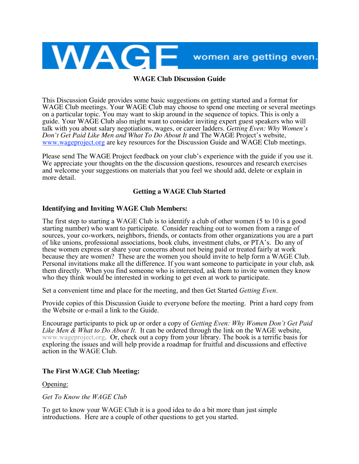

### **WAGE Club Discussion Guide**

This Discussion Guide provides some basic suggestions on getting started and a format for WAGE Club meetings. Your WAGE Club may choose to spend one meeting or several meetings on a particular topic. You may want to skip around in the sequence of topics. This is only a guide. Your WAGE Club also might want to consider inviting expert guest speakers who will talk with you about salary negotiations, wages, or career ladders. *Getting Even: Why Women's <u>WWW.Wageproject.org</u>* are key resources for the Discussion Guide and WAGE Club meetings.

Please send The WAGE Project feedback on your club's experience with the guide if you use it. We appreciate your thoughts on the the discussion questions, resources and research exercises and welcome your suggestions on materials that you feel we should add, delete or explain in more detail.

## **Getting a WAGE Club Started**

## **Identifying and Inviting WAGE Club Members:**

The first step to starting a WAGE Club is to identify a club of other women (5 to 10 is a good starting number) who want to participate. Consider reaching out to women from a range of sources, your co-workers, neighbors, friends, or contacts from other organizations you are a part of like unions, professional associations, book clubs, investment clubs, or PTA's. Do any of these women express or share your concerns about not being paid or treated fairly at work because they are women? These are the women you should invite to help form a WAGE Club. Personal invitations make all the difference. If you want someone to participate in your club, ask them directly. When you find someone who is interested, ask them to invite women they know who they think would be interested in working to get even at work to participate.

Set a convenient time and place for the meeting, and then Get Started *Getting Even*.

Provide copies of this Discussion Guide to everyone before the meeting. Print a hard copy from the Website or e-mail a link to the Guide.

Encourage participants to pick up or order a copy of *Getting Even: Why Women Don't Get Paid Like Men & What to Do About It*. It can be ordered through the link on the WAGE website, www.wageproject.org. Or, check out <sup>a</sup> copy from your library. The book is <sup>a</sup> terrific basis for exploring the issues and will help provide a roadmap for fruitful and discussions and effective action in the WAGE Club.

### **The First WAGE Club Meeting:**

### Opening:

*Get To Know the WAGE Club*

To get to know your WAGE Club it is a good idea to do a bit more than just simple introductions. Here are a couple of other questions to get you started.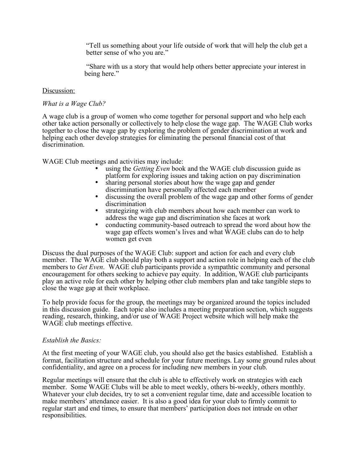"Tell us something about your life outside of work that will help the club get a better sense of who you are."

"Share with us a story that would help others better appreciate your interest in being here."

#### Discussion:

#### *What is a Wage Club?*

A wage club is a group of women who come together for personal support and who help each other take action personally or collectively to help close the wage gap. The WAGE Club works together to close the wage gap by exploring the problem of gender discrimination at work and helping each other develop strategies for eliminating the personal financial cost of that discrimination.

WAGE Club meetings and activities may include:

- using the *Getting Even* book and the WAGE club discussion guide as platform for exploring issues and taking action on pay discrimination
- sharing personal stories about how the wage gap and gender discrimination have personally affected each member
- discussing the overall problem of the wage gap and other forms of gender discrimination
- strategizing with club members about how each member can work to address the wage gap and discrimination she faces at work
- conducting community-based outreach to spread the word about how the wage gap effects women's lives and what WAGE clubs can do to help women get even

Discuss the dual purposes of the WAGE Club: support and action for each and every club member. The WAGE club should play both a support and action role in helping each of the club members to *Get Even*. WAGE club participants provide a sympathtic community and personal encouragement for others seeking to achieve pay equity. In addition, WAGE club participants play an active role for each other by helping other club members plan and take tangible steps to close the wage gap at their workplace.

To help provide focus for the group, the meetings may be organized around the topics included in this discussion guide. Each topic also includes a meeting preparation section, which suggests reading, research, thinking, and/or use of WAGE Project website which will help make the WAGE club meetings effective.

#### *Establish the Basics:*

At the first meeting of your WAGE club, you should also get the basics established. Establish a format, facilitation structure and schedule for your future meetings. Lay some ground rules about confidentiality, and agree on a process for including new members in your club.

Regular meetings will ensure that the club is able to effectively work on strategies with each member. Some WAGE Clubs will be able to meet weekly, others bi-weekly, others monthly. Whatever your club decides, try to set a convenient regular time, date and accessible location to make members' attendance easier. It is also a good idea for your club to firmly commit to regular start and end times, to ensure that members' participation does not intrude on other responsibilities.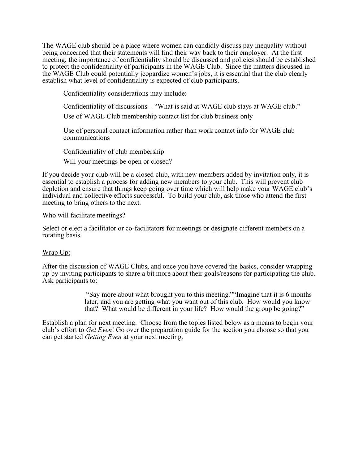The WAGE club should be a place where women can candidly discuss pay inequality without being concerned that their statements will find their way back to their employer. At the first meeting, the importance of confidentiality should be discussed and policies should be established to protect the confidentiality of participants in the WAGE Club. Since the matters discussed in the WAGE Club could potentially jeopardize women's jobs, it is essential that the club clearly establish what level of confidentiality is expected of club participants.

Confidentiality considerations may include:

Confidentiality of discussions – "What is said at WAGE club stays at WAGE club."

Use of WAGE Club membership contact list for club business only

Use of personal contact information rather than work contact info for WAGE club communications

Confidentiality of club membership

Will your meetings be open or closed?

If you decide your club will be a closed club, with new members added by invitation only, it is essential to establish a process for adding new members to your club. This will prevent club depletion and ensure that things keep going over time which will help make your WAGE club's individual and collective efforts successful. To build your club, ask those who attend the first meeting to bring others to the next.

Who will facilitate meetings?

Select or elect a facilitator or co-facilitators for meetings or designate different members on a rotating basis.

## Wrap Up:

After the discussion of WAGE Clubs, and once you have covered the basics, consider wrapping up by inviting participants to share a bit more about their goals/reasons for participating the club. Ask participants to:

> "Say more about what brought you to this meeting.""Imagine that it is 6 months later, and you are getting what you want out of this club. How would you know that? What would be different in your life? How would the group be going?"

Establish a plan for next meeting. Choose from the topics listed below as a means to begin your club's effort to *Get Even*! Go over the preparation guide for the section you choose so that you can get started *Getting Even* at your next meeting.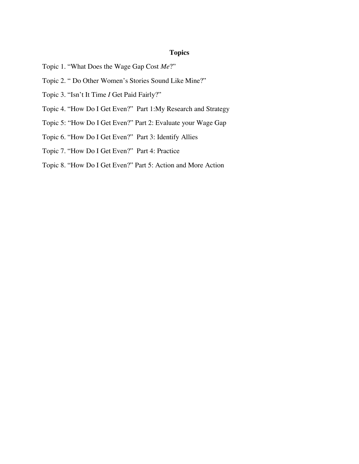# **Topics**

- Topic 1. "What Does the Wage Gap Cost *Me*?"
- Topic 2. " Do Other Women's Stories Sound Like Mine?"
- Topic 3. "Isn't It Time *I* Get Paid Fairly?"
- Topic 4. "How Do I Get Even?" Part 1:My Research and Strategy
- Topic 5: "How Do I Get Even?" Part 2: Evaluate your Wage Gap
- Topic 6. "How Do I Get Even?" Part 3: Identify Allies
- Topic 7. "How Do I Get Even?" Part 4: Practice
- Topic 8. "How Do I Get Even?" Part 5: Action and More Action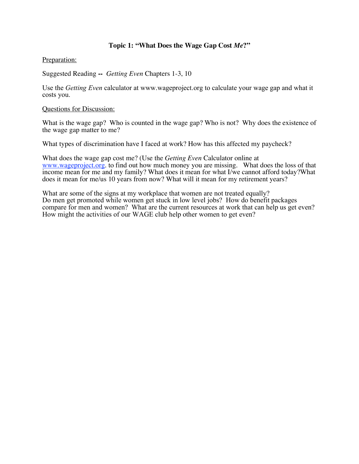# **Topic 1: "What Does the Wage Gap Cost** *Me***?"**

Preparation:

Suggested Reading **--** *Getting Even* Chapters 1-3, 10

Use the *Getting Even* calculator at www.wageproject.org to calculate your wage gap and what it costs you.

### Questions for Discussion:

What is the wage gap? Who is counted in the wage gap? Who is not? Why does the existence of the wage gap matter to me?

What types of discrimination have I faced at work? How has this affected my paycheck?

What does the wage gap cost me? (Use the *Getting Even* Calculator online at www.wageproject.org. to find out how much money you are missing. What does the loss of that income mean for me and my family? What does it mean for what I/we cannot afford today?What does it mean for me/us 10 years from now? What will it mean for my retirement years?

What are some of the signs at my workplace that women are not treated equally? Do men get promoted while women get stuck in low level jobs? How do benefit packages compare for men and women? What are the current resources at work that can help us get even? How might the activities of our WAGE club help other women to get even?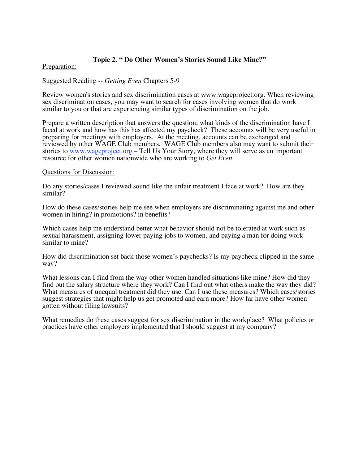## **Topic 2. " Do Other Women's Stories Sound Like Mine?"**

### Preparation:

Suggested Reading -- *Getting Even* Chapters 5-9

Review women's stories and sex discrimination cases at www.wageproject.org. When reviewing sex discrimination cases, you may want to search for cases involving women that do work similar to you or that are experiencing similar types of discrimination on the job.

Prepare a written description that answers the question; what kinds of the discrimination have I faced at work and how has this has affected my paycheck? These accounts will be very useful in preparing for meetings with employers. At the meeting, accounts can be exchanged and reviewed by other WAGE Club members. WAGE Club members also may want to submit their stories to www.wageproject.org - Tell Us Your Story, where they will serve as an important resource for other women nationwide who are working to *Get Even.*

### Questions for Discussion:

Do any stories/cases I reviewed sound like the unfair treatment I face at work? How are they similar?

How do these cases/stories help me see when employers are discriminating against me and other women in hiring? in promotions? in benefits?

Which cases help me understand better what behavior should not be tolerated at work such as sexual harassment, assigning lower paying jobs to women, and paying a man for doing work similar to mine?

How did discrimination set back those women's paychecks? Is my paycheck clipped in the same way?

What lessons can I find from the way other women handled situations like mine? How did they find out the salary structure where they work? Can I find out what others make the way they did? What measures of unequal treatment did they use. Can I use these measures? Which cases/stories suggest strategies that might help us get promoted and earn more? How far have other women gotten without filing lawsuits?

What remedies do these cases suggest for sex discrimination in the workplace? What policies or practices have other employers implemented that I should suggest at my company?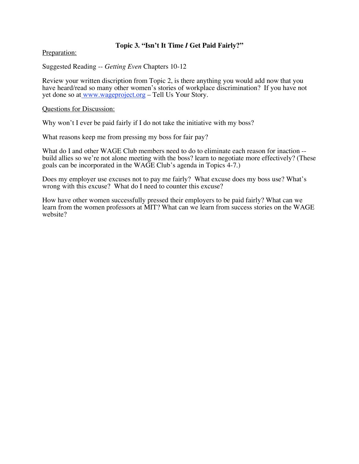# **Topic 3. "Isn't It Time** *I* **Get Paid Fairly?"**

Preparation:

Suggested Reading -- *Getting Even* Chapters 10-12

Review your written discription from Topic 2, is there anything you would add now that you have heard/read so many other women's stories of workplace discrimination? If you have not yet done so at www.wageproject.org – Tell Us Your Story.

### Questions for Discussion:

Why won't I ever be paid fairly if I do not take the initiative with my boss?

What reasons keep me from pressing my boss for fair pay?

What do I and other WAGE Club members need to do to eliminate each reason for inaction --<br>build allies so we're not alone meeting with the boss? learn to negotiate more effectively? (These goals can be incorporated in the WAGE Club's agenda in Topics 4-7.)

Does my employer use excuses not to pay me fairly? What excuse does my boss use? What's wrong with this excuse? What do I need to counter this excuse?

How have other women successfully pressed their employers to be paid fairly? What can we learn from the women professors at MIT? What can we learn from success stories on the WAGE website?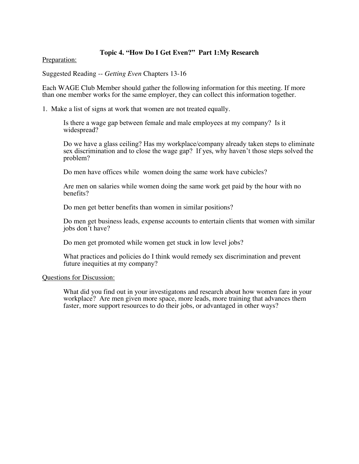### **Topic 4. "How Do I Get Even?" Part 1:My Research**

Preparation:

Suggested Reading -- *Getting Even* Chapters 13-16

Each WAGE Club Member should gather the following information for this meeting. If more than one member works for the same employer, they can collect this information together.

1. Make a list of signs at work that women are not treated equally.

Is there a wage gap between female and male employees at my company? Is it widespread?

Do we have a glass ceiling? Has my workplace/company already taken steps to eliminate sex discrimination and to close the wage gap? If yes, why haven't those steps solved the problem?

Do men have offices while women doing the same work have cubicles?

Are men on salaries while women doing the same work get paid by the hour with no benefits?

Do men get better benefits than women in similar positions?

Do men get business leads, expense accounts to entertain clients that women with similar jobs don't have?

Do men get promoted while women get stuck in low level jobs?

What practices and policies do I think would remedy sex discrimination and prevent future inequities at my company?

### Questions for Discussion:

What did you find out in your investigatons and research about how women fare in your workplace? Are men given more space, more leads, more training that advances them faster, more support resources to do their jobs, or advantaged in other ways?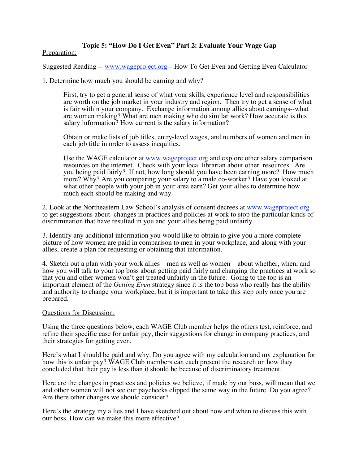# **Topic 5: "How Do I Get Even" Part 2: Evaluate Your Wage Gap**

Preparation:

Suggested Reading -- www.wageproject.org – How To Get Even and Getting Even Calculator

1. Determine how much you should be earning and why?

First, try to get a general sense of what your skills, experience level and responsibilities are worth on the job market in your industry and region. Then try to get a sense of what is fair within your company. Exchange information among allies about earnings--what are women making? What are men making who do similar work? How accurate is this salary information? How current is the salary information?

Obtain or make lists of job titles, entry-level wages, and numbers of women and men in each job title in order to assess inequities.

Use the WAGE calculator at www.wageproject.org and explore other salary comparison resources on the internet. Check with your local librarian about other resources. Are you being paid fairly? If not, how long should you have been earning more? How much more? Why? Are you comparing your salary to a male co-worker? Have you looked at what other people with your job in your area earn? Get your allies to determine how much each should be making and why.

2. Look at the Northeastern Law School's analysis of consent decrees at www.wageproject.org to get suggestions about changes in practices and policies at work to stop the particular kinds of discrimination that have resulted in you and your allies being paid unfairly.

3. Identify any additional information you would like to obtain to give you a more complete picture of how women are paid in comparison to men in your workplace, and along with your allies, create a plan for requesting or obtaining that information.

4. Sketch out a plan with your work allies – men as well as women – about whether, when, and how you will talk to your top boss about getting paid fairly and changing the practices at work so that you and other women won't get treated unfairly in the future. Going to the top is an important element of the *Getting Even* strategy since it is the top boss who really has the ability and authority to change your workplace, but it is important to take this step only once you are prepared.

### Questions for Discussion:

Using the three questions below, each WAGE Club member helps the others test, reinforce, and refine their specific case for unfair pay, their suggestions for change in company practices, and their strategies for getting even.

Here's what I should be paid and why. Do you agree with my calculation and my explanation for how this is unfair pay? WAGE Club members can each present the research on how they concluded that their pay is less than it should be because of discriminatory treatment.

Here are the changes in practices and policies we believe, if made by our boss, will mean that we and other women will not see our paychecks clipped the same way in the future. Do you agree? Are there other changes we should consider?

Here's the strategy my allies and I have sketched out about how and when to discuss this with our boss. How can we make this more effective?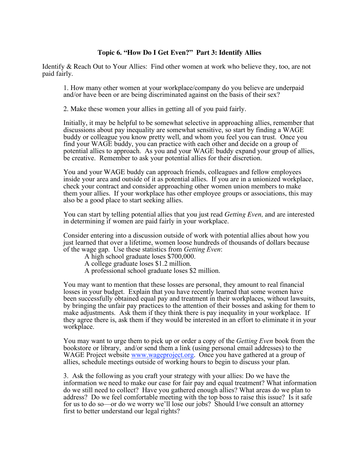### **Topic 6. "How Do I Get Even?" Part 3: Identify Allies**

Identify & Reach Out to Your Allies: Find other women at work who believe they, too, are not paid fairly.

1. How many other women at your workplace/company do you believe are underpaid and/or have been or are being discriminated against on the basis of their sex?

2. Make these women your allies in getting all of you paid fairly.

Initially, it may be helpful to be somewhat selective in approaching allies, remember that discussions about pay inequality are somewhat sensitive, so start by finding a WAGE buddy or colleague you know pretty well, and whom you feel you can trust. Once you find your WAGE buddy, you can practice with each other and decide on a group of potential allies to approach. As you and your WAGE buddy expand your group of allies, be creative. Remember to ask your potential allies for their discretion.

You and your WAGE buddy can approach friends, colleagues and fellow employees inside your area and outside of it as potential allies. If you are in a unionized workplace, check your contract and consider approaching other women union members to make them your allies. If your workplace has other employee groups or associations, this may also be a good place to start seeking allies.

You can start by telling potential allies that you just read *Getting Even,* and are interested in determining if women are paid fairly in your workplace.

Consider entering into a discussion outside of work with potential allies about how you just learned that over a lifetime, women loose hundreds of thousands of dollars because of the wage gap. Use these statistics from *Getting Even*:

- A high school graduate loses \$700,000.
- A college graduate loses \$1.2 million.
- A professional school graduate loses \$2 million.

You may want to mention that these losses are personal, they amount to real financial losses in your budget. Explain that you have recently learned that some women have been successfully obtained equal pay and treatment in their workplaces, without lawsuits, by bringing the unfair pay practices to the attention of their bosses and asking for them to make adjustments. Ask them if they think there is pay inequality in your workplace. If they agree there is, ask them if they would be interested in an effort to eliminate it in your workplace.

You may want to urge them to pick up or order a copy of the *Getting Even* book from the bookstore or library, and/or send them a link (using personal email addresses) to the WAGE Project website www.wageproject.org. Once you have gathered at a group of allies, schedule meetings outside of working hours to begin to discuss your plan.

3. Ask the following as you craft your strategy with your allies: Do we have the information we need to make our case for fair pay and equal treatment? What information do we still need to collect? Have you gathered enough allies? What areas do we plan to address? Do we feel comfortable meeting with the top boss to raise this issue? Is it safe for us to do so—or do we worry we'll lose our jobs? Should I/we consult an attorney first to better understand our legal rights?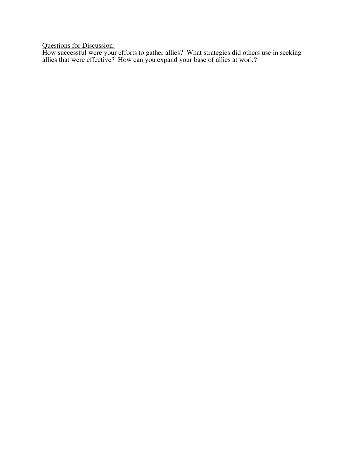Questions for Discussion:

How successful were your efforts to gather allies? What strategies did others use in seeking allies that were effective? How can you expand your base of allies at work?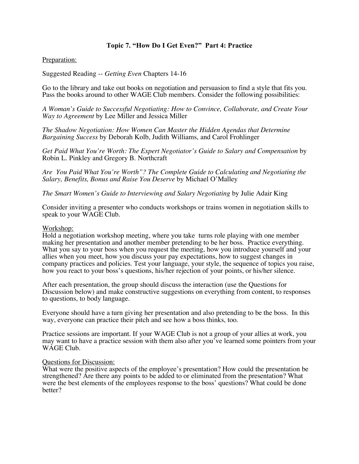# **Topic 7. "How Do I Get Even?" Part 4: Practice**

### Preparation:

Suggested Reading -- *Getting Even* Chapters 14-16

Go to the library and take out books on negotiation and persuasion to find a style that fits you. Pass the books around to other WAGE Club members. Consider the following possibilities:

*A Woman's Guide to Successful Negotiating: How to Convince, Collaborate, and Create Your Way to Agreement* by Lee Miller and Jessica Miller

*The Shadow Negotiation: How Women Can Master the Hidden Agendas that Determine Bargaining Success* by Deborah Kolb, Judith Williams, and Carol Frohlinger

*Get Paid What You're Worth: The Expert Negotiator's Guide to Salary and Compensation* by Robin L. Pinkley and Gregory B. Northcraft

*Are You Paid What You're Worth"? The Complete Guide to Calculating and Negotiating the Salary, Benefits, Bonus and Raise You Deserve* by Michael O'Malley

*The Smart Women's Guide to Interviewing and Salary Negotiating* by Julie Adair King

Consider inviting a presenter who conducts workshops or trains women in negotiation skills to speak to your WAGE Club.

#### Workshop:

Hold a negotiation workshop meeting, where you take turns role playing with one member making her presentation and another member pretending to be her boss. Practice everything. What you say to your boss when you request the meeting, how you introduce yourself and your allies when you meet, how you discuss your pay expectations, how to suggest changes in company practices and policies. Test your language, your style, the sequence of topics you raise, how you react to your boss's questions, his/her rejection of your points, or his/her silence.

After each presentation, the group should discuss the interaction (use the Questions for Discussion below) and make constructive suggestions on everything from content, to responses to questions, to body language.

Everyone should have a turn giving her presentation and also pretending to be the boss. In this way, everyone can practice their pitch and see how a boss thinks, too.

Practice sessions are important. If your WAGE Club is not a group of your allies at work, you may want to have a practice session with them also after you've learned some pointers from your WAGE Club.

### Questions for Discussion:

What were the positive aspects of the employee's presentation? How could the presentation be strengthened? Are there any points to be added to or eliminated from the presentation? What were the best elements of the employees response to the boss' questions? What could be done better?